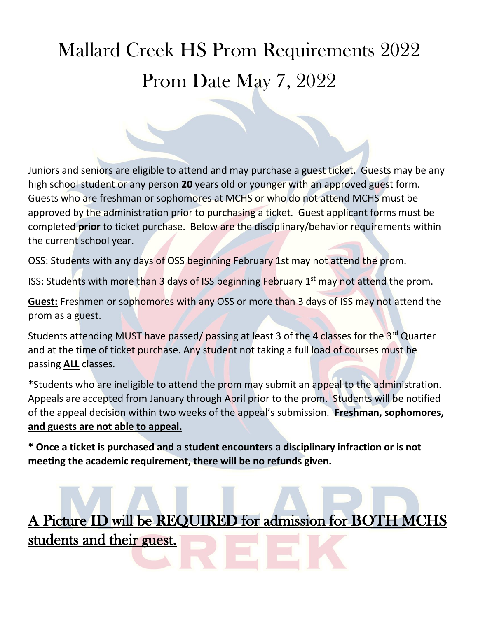## Mallard Creek HS Prom Requirements 2022 Prom Date May 7, 2022

Juniors and seniors are eligible to attend and may purchase a guest ticket. Guests may be any high school student or any person **20** years old or younger with an approved guest form. Guests who are freshman or sophomores at MCHS or who do not attend MCHS must be approved by the administration prior to purchasing a ticket. Guest applicant forms must be completed **prior** to ticket purchase. Below are the disciplinary/behavior requirements within the current school year.

OSS: Students with any days of OSS beginning February 1st may not attend the prom.

ISS: Students with more than 3 days of ISS beginning February  $1<sup>st</sup>$  may not attend the prom.

**Guest:** Freshmen or sophomores with any OSS or more than 3 days of ISS may not attend the prom as a guest.

Students attending MUST have passed/passing at least 3 of the 4 classes for the 3<sup>rd</sup> Quarter and at the time of ticket purchase. Any student not taking a full load of courses must be passing **ALL** classes.

\*Students who are ineligible to attend the prom may submit an appeal to the administration. Appeals are accepted from January through April prior to the prom. Students will be notified of the appeal decision within two weeks of the appeal's submission. **Freshman, sophomores, and guests are not able to appeal.**

**\* Once a ticket is purchased and a student encounters a disciplinary infraction or is not meeting the academic requirement, there will be no refunds given.** 

A Picture ID will be REQUIRED for admission for BOTH MCHS students and their guest.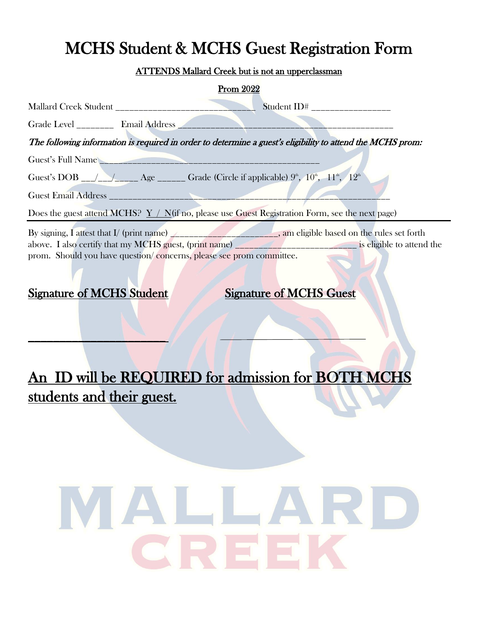## MCHS Student & MCHS Guest Registration Form

#### ATTENDS Mallard Creek but is not an upperclassman

| <b>Prom 2022</b>                                                                                                                                                                                                                                                                                                                                                  |
|-------------------------------------------------------------------------------------------------------------------------------------------------------------------------------------------------------------------------------------------------------------------------------------------------------------------------------------------------------------------|
| Student ID# _________________                                                                                                                                                                                                                                                                                                                                     |
| Grade Level ___________ Email Address _________                                                                                                                                                                                                                                                                                                                   |
| The following information is required in order to determine a guest's eligibility to attend the MCHS prom:                                                                                                                                                                                                                                                        |
| Guest's Full Name<br>Guest's DOB __/__/_____ Age ______ Grade (Circle if applicable) $9^{\circ}$ , $10^{\circ}$ , $11^{\circ}$ , $12^{\circ}$<br><b>Guest Email Address Contract Email Address</b>                                                                                                                                                                |
| Does the guest attend MCHS? $Y / N$ (if no, please use Guest Registration Form, see the next page)                                                                                                                                                                                                                                                                |
| By signing, I attest that I/ (print name) $\angle$<br>above. I also certify that my MCHS guest, (print name) <b>And the set of the set of the set of the set of the set of the set of the set of the set of the set of the set of the set of the set of the set of the set of the set </b><br>prom. Should you have question/concerns, please see prom committee. |

#### Signature of MCHS Student Signature of MCHS Guest

 $\mathcal{L}$  , we can expect the contribution of  $\mathcal{L}$ 

### An ID will be REQUIRED for admission for BOTH MCHS students and their guest.

# MALLARD CRI